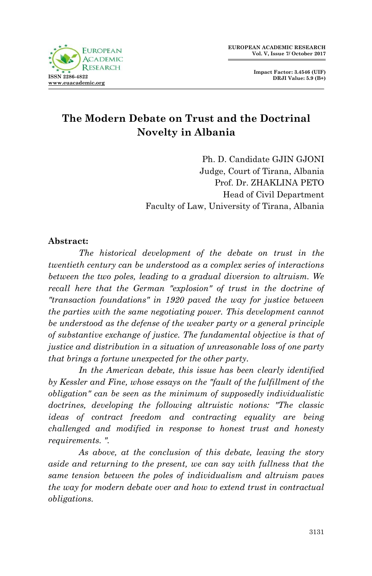

**Impact Factor: 3.4546 (UIF) DRJI Value: 5.9 (B+)**

# **The Modern Debate on Trust and the Doctrinal Novelty in Albania**

Ph. D. Candidate GJIN GJONI Judge, Court of Tirana, Albania Prof. Dr. ZHAKLINA PETO Head of Civil Department Faculty of Law, University of Tirana, Albania

#### **Abstract:**

*The historical development of the debate on trust in the twentieth century can be understood as a complex series of interactions between the two poles, leading to a gradual diversion to altruism. We*  recall here that the German "explosion" of trust in the doctrine of *"transaction foundations" in 1920 paved the way for justice between the parties with the same negotiating power. This development cannot be understood as the defense of the weaker party or a general principle of substantive exchange of justice. The fundamental objective is that of justice and distribution in a situation of unreasonable loss of one party that brings a fortune unexpected for the other party.*

*In the American debate, this issue has been clearly identified*  by Kessler and Fine, whose essays on the "fault of the fulfillment of the *obligation" can be seen as the minimum of supposedly individualistic doctrines, developing the following altruistic notions: "The classic ideas of contract freedom and contracting equality are being challenged and modified in response to honest trust and honesty requirements. ".*

*As above, at the conclusion of this debate, leaving the story aside and returning to the present, we can say with fullness that the same tension between the poles of individualism and altruism paves the way for modern debate over and how to extend trust in contractual obligations.*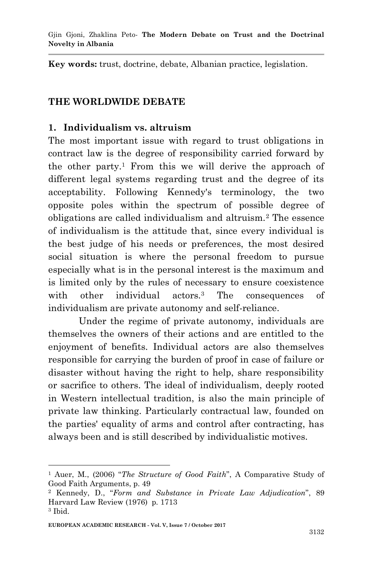Gjin Gjoni, Zhaklina Peto*-* **The Modern Debate on Trust and the Doctrinal Novelty in Albania**

**Key words:** trust, doctrine, debate, Albanian practice, legislation.

#### **THE WORLDWIDE DEBATE**

#### **1. Individualism vs. altruism**

The most important issue with regard to trust obligations in contract law is the degree of responsibility carried forward by the other party.<sup>1</sup> From this we will derive the approach of different legal systems regarding trust and the degree of its acceptability. Following Kennedy's terminology, the two opposite poles within the spectrum of possible degree of obligations are called individualism and altruism.<sup>2</sup> The essence of individualism is the attitude that, since every individual is the best judge of his needs or preferences, the most desired social situation is where the personal freedom to pursue especially what is in the personal interest is the maximum and is limited only by the rules of necessary to ensure coexistence with other individual actors.<sup>3</sup> The consequences of individualism are private autonomy and self-reliance.

Under the regime of private autonomy, individuals are themselves the owners of their actions and are entitled to the enjoyment of benefits. Individual actors are also themselves responsible for carrying the burden of proof in case of failure or disaster without having the right to help, share responsibility or sacrifice to others. The ideal of individualism, deeply rooted in Western intellectual tradition, is also the main principle of private law thinking. Particularly contractual law, founded on the parties' equality of arms and control after contracting, has always been and is still described by individualistic motives.

<sup>1</sup> <sup>1</sup> Auer, M., (2006) "*The Structure of Good Faith*", A Comparative Study of Good Faith Arguments, p. 49

<sup>2</sup> Kennedy, D., "*Form and Substance in Private Law Adjudication*", 89 Harvard Law Review (1976) p. 1713

<sup>3</sup> Ibid.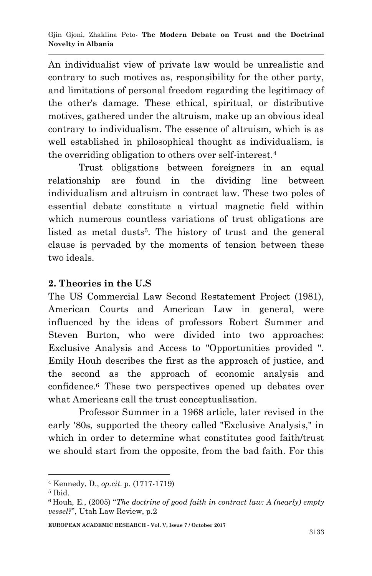An individualist view of private law would be unrealistic and contrary to such motives as, responsibility for the other party, and limitations of personal freedom regarding the legitimacy of the other's damage. These ethical, spiritual, or distributive motives, gathered under the altruism, make up an obvious ideal contrary to individualism. The essence of altruism, which is as well established in philosophical thought as individualism, is the overriding obligation to others over self-interest.<sup>4</sup>

Trust obligations between foreigners in an equal relationship are found in the dividing line between individualism and altruism in contract law. These two poles of essential debate constitute a virtual magnetic field within which numerous countless variations of trust obligations are listed as metal dusts<sup>5</sup>. The history of trust and the general clause is pervaded by the moments of tension between these two ideals.

### **2. Theories in the U.S**

The US Commercial Law Second Restatement Project (1981), American Courts and American Law in general, were influenced by the ideas of professors Robert Summer and Steven Burton, who were divided into two approaches: Exclusive Analysis and Access to "Opportunities provided ". Emily Houh describes the first as the approach of justice, and the second as the approach of economic analysis and confidence.<sup>6</sup> These two perspectives opened up debates over what Americans call the trust conceptualisation.

Professor Summer in a 1968 article, later revised in the early '80s, supported the theory called "Exclusive Analysis," in which in order to determine what constitutes good faith/trust we should start from the opposite, from the bad faith. For this

1

<sup>4</sup> Kennedy, D., *op.cit*. p. (1717-1719)

<sup>5</sup> Ibid.

<sup>6</sup> Houh, E., (2005) "*The doctrine of good faith in contract law: A (nearly) empty vessel?*", Utah Law Review, p.2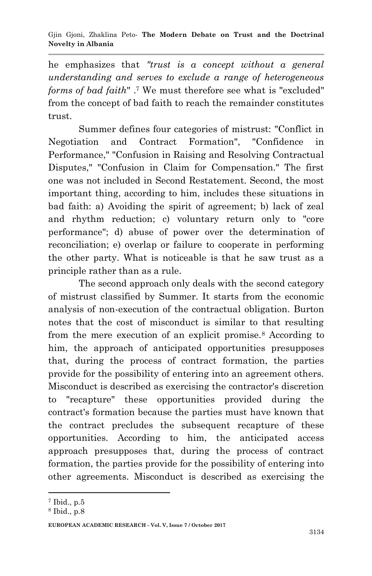he emphasizes that *"trust is a concept without a general understanding and serves to exclude a range of heterogeneous forms of bad faith*" .<sup>7</sup> We must therefore see what is "excluded" from the concept of bad faith to reach the remainder constitutes trust.

Summer defines four categories of mistrust: "Conflict in Negotiation and Contract Formation", "Confidence in Performance," "Confusion in Raising and Resolving Contractual Disputes," "Confusion in Claim for Compensation." The first one was not included in Second Restatement. Second, the most important thing, according to him, includes these situations in bad faith: a) Avoiding the spirit of agreement; b) lack of zeal and rhythm reduction; c) voluntary return only to "core performance"; d) abuse of power over the determination of reconciliation; e) overlap or failure to cooperate in performing the other party. What is noticeable is that he saw trust as a principle rather than as a rule.

The second approach only deals with the second category of mistrust classified by Summer. It starts from the economic analysis of non-execution of the contractual obligation. Burton notes that the cost of misconduct is similar to that resulting from the mere execution of an explicit promise.<sup>8</sup> According to him, the approach of anticipated opportunities presupposes that, during the process of contract formation, the parties provide for the possibility of entering into an agreement others. Misconduct is described as exercising the contractor's discretion to "recapture" these opportunities provided during the contract's formation because the parties must have known that the contract precludes the subsequent recapture of these opportunities. According to him, the anticipated access approach presupposes that, during the process of contract formation, the parties provide for the possibility of entering into other agreements. Misconduct is described as exercising the

1

<sup>7</sup> Ibid., p.5

<sup>8</sup> Ibid., p.8

**EUROPEAN ACADEMIC RESEARCH - Vol. V, Issue 7 / October 2017**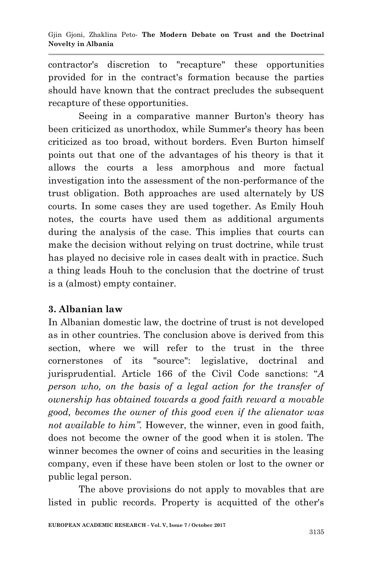contractor's discretion to "recapture" these opportunities provided for in the contract's formation because the parties should have known that the contract precludes the subsequent recapture of these opportunities.

Seeing in a comparative manner Burton's theory has been criticized as unorthodox, while Summer's theory has been criticized as too broad, without borders. Even Burton himself points out that one of the advantages of his theory is that it allows the courts a less amorphous and more factual investigation into the assessment of the non-performance of the trust obligation. Both approaches are used alternately by US courts. In some cases they are used together. As Emily Houh notes, the courts have used them as additional arguments during the analysis of the case. This implies that courts can make the decision without relying on trust doctrine, while trust has played no decisive role in cases dealt with in practice. Such a thing leads Houh to the conclusion that the doctrine of trust is a (almost) empty container.

## **3. Albanian law**

In Albanian domestic law, the doctrine of trust is not developed as in other countries. The conclusion above is derived from this section, where we will refer to the trust in the three cornerstones of its "source": legislative, doctrinal and jurisprudential. Article 166 of the Civil Code sanctions: "*A person who, on the basis of a legal action for the transfer of ownership has obtained towards a good faith reward a movable good, becomes the owner of this good even if the alienator was not available to him*". However, the winner, even in good faith, does not become the owner of the good when it is stolen. The winner becomes the owner of coins and securities in the leasing company, even if these have been stolen or lost to the owner or public legal person.

The above provisions do not apply to movables that are listed in public records. Property is acquitted of the other's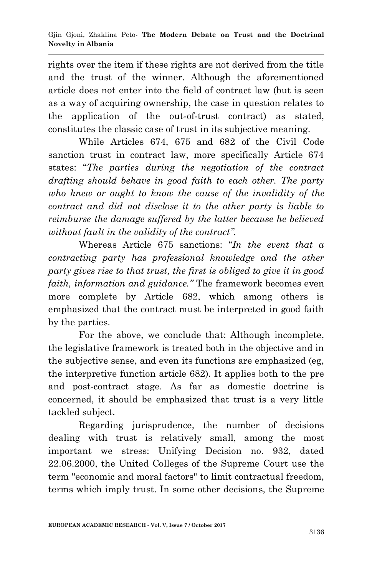rights over the item if these rights are not derived from the title and the trust of the winner. Although the aforementioned article does not enter into the field of contract law (but is seen as a way of acquiring ownership, the case in question relates to the application of the out-of-trust contract) as stated, constitutes the classic case of trust in its subjective meaning.

While Articles 674, 675 and 682 of the Civil Code sanction trust in contract law, more specifically Article 674 states: "*The parties during the negotiation of the contract drafting should behave in good faith to each other. The party who knew or ought to know the cause of the invalidity of the contract and did not disclose it to the other party is liable to reimburse the damage suffered by the latter because he believed without fault in the validity of the contract".*

Whereas Article 675 sanctions: "*In the event that a contracting party has professional knowledge and the other party gives rise to that trust, the first is obliged to give it in good faith, information and guidance."* The framework becomes even more complete by Article 682, which among others is emphasized that the contract must be interpreted in good faith by the parties.

For the above, we conclude that: Although incomplete, the legislative framework is treated both in the objective and in the subjective sense, and even its functions are emphasized (eg, the interpretive function article 682). It applies both to the pre and post-contract stage. As far as domestic doctrine is concerned, it should be emphasized that trust is a very little tackled subject.

Regarding jurisprudence, the number of decisions dealing with trust is relatively small, among the most important we stress: Unifying Decision no. 932, dated 22.06.2000, the United Colleges of the Supreme Court use the term "economic and moral factors" to limit contractual freedom, terms which imply trust. In some other decisions, the Supreme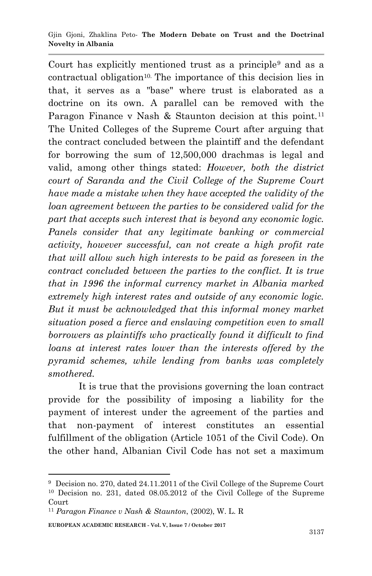#### Gjin Gjoni, Zhaklina Peto*-* **The Modern Debate on Trust and the Doctrinal Novelty in Albania**

Court has explicitly mentioned trust as a principle<sup>9</sup> and as a contractual obligation<sup>10.</sup> The importance of this decision lies in that, it serves as a "base" where trust is elaborated as a doctrine on its own. A parallel can be removed with the Paragon Finance v Nash & Staunton decision at this point.<sup>11</sup> The United Colleges of the Supreme Court after arguing that the contract concluded between the plaintiff and the defendant for borrowing the sum of 12,500,000 drachmas is legal and valid, among other things stated: *However, both the district court of Saranda and the Civil College of the Supreme Court have made a mistake when they have accepted the validity of the loan agreement between the parties to be considered valid for the part that accepts such interest that is beyond any economic logic. Panels consider that any legitimate banking or commercial activity, however successful, can not create a high profit rate that will allow such high interests to be paid as foreseen in the contract concluded between the parties to the conflict. It is true that in 1996 the informal currency market in Albania marked extremely high interest rates and outside of any economic logic. But it must be acknowledged that this informal money market situation posed a fierce and enslaving competition even to small borrowers as plaintiffs who practically found it difficult to find loans at interest rates lower than the interests offered by the pyramid schemes, while lending from banks was completely smothered.*

It is true that the provisions governing the loan contract provide for the possibility of imposing a liability for the payment of interest under the agreement of the parties and that non-payment of interest constitutes an essential fulfillment of the obligation (Article 1051 of the Civil Code). On the other hand, Albanian Civil Code has not set a maximum

1

<sup>9</sup> Decision no. 270, dated 24.11.2011 of the Civil College of the Supreme Court <sup>10</sup> Decision no. 231, dated 08.05.2012 of the Civil College of the Supreme Court

<sup>11</sup> *Paragon Finance v Nash & Staunton*, (2002), W. L. R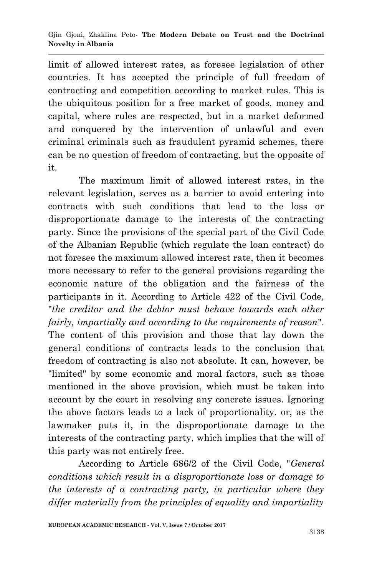limit of allowed interest rates, as foresee legislation of other countries. It has accepted the principle of full freedom of contracting and competition according to market rules. This is the ubiquitous position for a free market of goods, money and capital, where rules are respected, but in a market deformed and conquered by the intervention of unlawful and even criminal criminals such as fraudulent pyramid schemes, there can be no question of freedom of contracting, but the opposite of it.

The maximum limit of allowed interest rates, in the relevant legislation, serves as a barrier to avoid entering into contracts with such conditions that lead to the loss or disproportionate damage to the interests of the contracting party. Since the provisions of the special part of the Civil Code of the Albanian Republic (which regulate the loan contract) do not foresee the maximum allowed interest rate, then it becomes more necessary to refer to the general provisions regarding the economic nature of the obligation and the fairness of the participants in it. According to Article 422 of the Civil Code, "*the creditor and the debtor must behave towards each other fairly, impartially and according to the requirements of reason*". The content of this provision and those that lay down the general conditions of contracts leads to the conclusion that freedom of contracting is also not absolute. It can, however, be "limited" by some economic and moral factors, such as those mentioned in the above provision, which must be taken into account by the court in resolving any concrete issues. Ignoring the above factors leads to a lack of proportionality, or, as the lawmaker puts it, in the disproportionate damage to the interests of the contracting party, which implies that the will of this party was not entirely free.

According to Article 686/2 of the Civil Code, "*General conditions which result in a disproportionate loss or damage to the interests of a contracting party, in particular where they differ materially from the principles of equality and impartiality*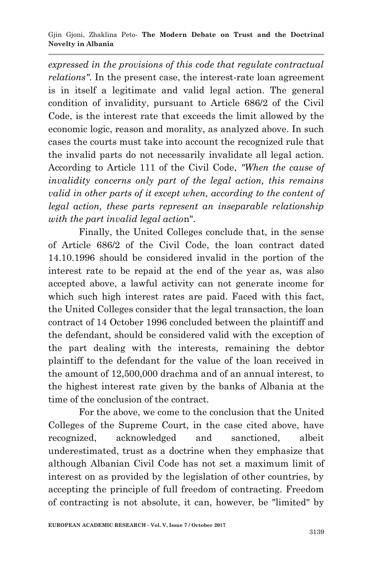*expressed in the provisions of this code that regulate contractual relations"*. In the present case, the interest-rate loan agreement is in itself a legitimate and valid legal action. The general condition of invalidity, pursuant to Article 686/2 of the Civil Code, is the interest rate that exceeds the limit allowed by the economic logic, reason and morality, as analyzed above. In such cases the courts must take into account the recognized rule that the invalid parts do not necessarily invalidate all legal action. According to Article 111 of the Civil Code, *"When the cause of invalidity concerns only part of the legal action, this remains valid in other parts of it except when, according to the content of legal action, these parts represent an inseparable relationship with the part invalid legal actio*n".

Finally, the United Colleges conclude that, in the sense of Article 686/2 of the Civil Code, the loan contract dated 14.10.1996 should be considered invalid in the portion of the interest rate to be repaid at the end of the year as, was also accepted above, a lawful activity can not generate income for which such high interest rates are paid. Faced with this fact, the United Colleges consider that the legal transaction, the loan contract of 14 October 1996 concluded between the plaintiff and the defendant, should be considered valid with the exception of the part dealing with the interests, remaining the debtor plaintiff to the defendant for the value of the loan received in the amount of 12,500,000 drachma and of an annual interest, to the highest interest rate given by the banks of Albania at the time of the conclusion of the contract.

For the above, we come to the conclusion that the United Colleges of the Supreme Court, in the case cited above, have recognized, acknowledged and sanctioned, albeit underestimated, trust as a doctrine when they emphasize that although Albanian Civil Code has not set a maximum limit of interest on as provided by the legislation of other countries, by accepting the principle of full freedom of contracting. Freedom of contracting is not absolute, it can, however, be "limited" by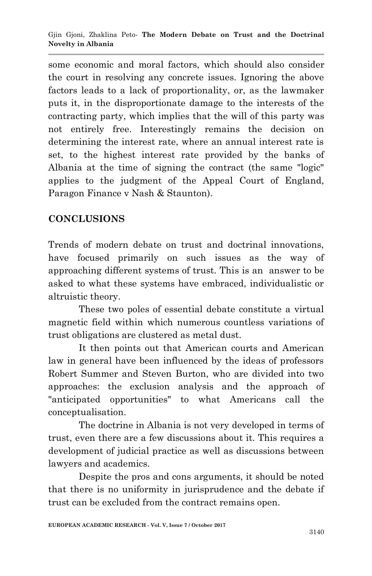some economic and moral factors, which should also consider the court in resolving any concrete issues. Ignoring the above factors leads to a lack of proportionality, or, as the lawmaker puts it, in the disproportionate damage to the interests of the contracting party, which implies that the will of this party was not entirely free. Interestingly remains the decision on determining the interest rate, where an annual interest rate is set, to the highest interest rate provided by the banks of Albania at the time of signing the contract (the same "logic" applies to the judgment of the Appeal Court of England, Paragon Finance v Nash & Staunton).

# **CONCLUSIONS**

Trends of modern debate on trust and doctrinal innovations, have focused primarily on such issues as the way of approaching different systems of trust. This is an answer to be asked to what these systems have embraced, individualistic or altruistic theory.

These two poles of essential debate constitute a virtual magnetic field within which numerous countless variations of trust obligations are clustered as metal dust.

It then points out that American courts and American law in general have been influenced by the ideas of professors Robert Summer and Steven Burton, who are divided into two approaches: the exclusion analysis and the approach of "anticipated opportunities" to what Americans call the conceptualisation.

The doctrine in Albania is not very developed in terms of trust, even there are a few discussions about it. This requires a development of judicial practice as well as discussions between lawyers and academics.

Despite the pros and cons arguments, it should be noted that there is no uniformity in jurisprudence and the debate if trust can be excluded from the contract remains open.